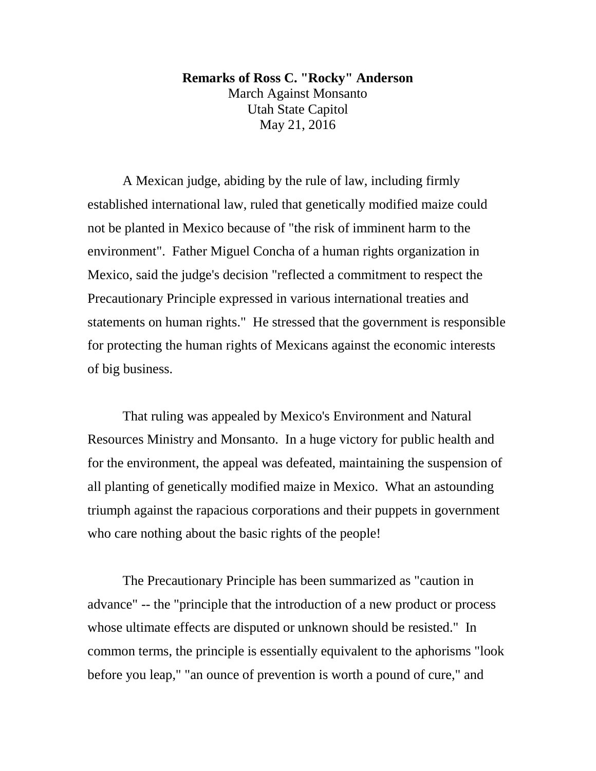## **Remarks of Ross C. "Rocky" Anderson**

March Against Monsanto Utah State Capitol May 21, 2016

A Mexican judge, abiding by the rule of law, including firmly established international law, ruled that genetically modified maize could not be planted in Mexico because of "the risk of imminent harm to the environment". Father Miguel Concha of a human rights organization in Mexico, said the judge's decision "reflected a commitment to respect the Precautionary Principle expressed in various international treaties and statements on human rights." He stressed that the government is responsible for protecting the human rights of Mexicans against the economic interests of big business.

That ruling was appealed by Mexico's Environment and Natural Resources Ministry and Monsanto. In a huge victory for public health and for the environment, the appeal was defeated, maintaining the suspension of all planting of genetically modified maize in Mexico. What an astounding triumph against the rapacious corporations and their puppets in government who care nothing about the basic rights of the people!

The Precautionary Principle has been summarized as "caution in advance" -- the "principle that the introduction of a new product or process whose ultimate effects are disputed or unknown should be resisted." In common terms, the principle is essentially equivalent to the aphorisms "look before you leap," "an ounce of prevention is worth a pound of cure," and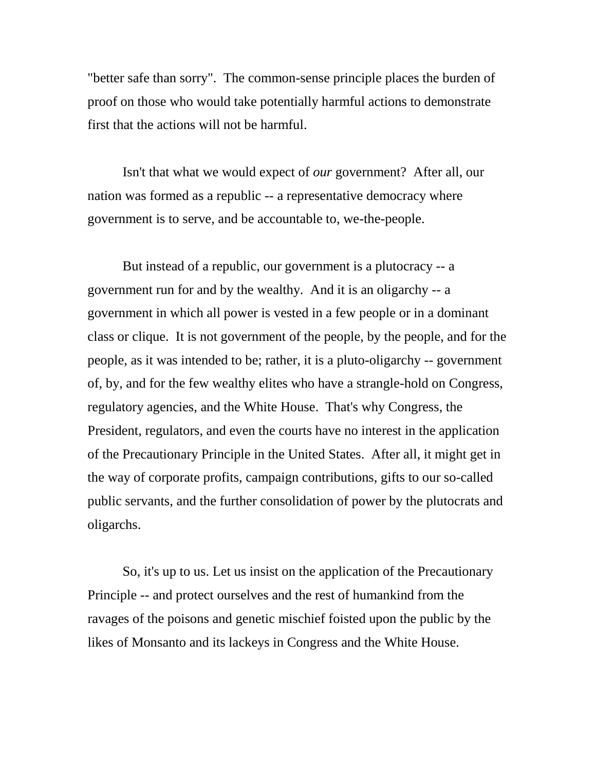"better safe than sorry". The common-sense principle places the burden of proof on those who would take potentially harmful actions to demonstrate first that the actions will not be harmful.

Isn't that what we would expect of *our* government? After all, our nation was formed as a republic -- a representative democracy where government is to serve, and be accountable to, we-the-people.

But instead of a republic, our government is a plutocracy -- a government run for and by the wealthy. And it is an oligarchy -- a government in which all power is vested in a few people or in a dominant class or clique. It is not government of the people, by the people, and for the people, as it was intended to be; rather, it is a pluto-oligarchy -- government of, by, and for the few wealthy elites who have a strangle-hold on Congress, regulatory agencies, and the White House. That's why Congress, the President, regulators, and even the courts have no interest in the application of the Precautionary Principle in the United States. After all, it might get in the way of corporate profits, campaign contributions, gifts to our so-called public servants, and the further consolidation of power by the plutocrats and oligarchs.

So, it's up to us. Let us insist on the application of the Precautionary Principle -- and protect ourselves and the rest of humankind from the ravages of the poisons and genetic mischief foisted upon the public by the likes of Monsanto and its lackeys in Congress and the White House.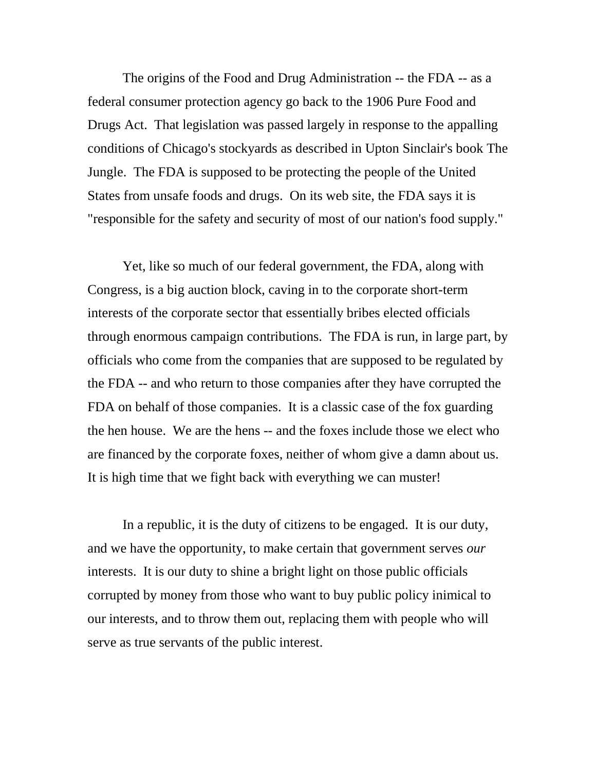The origins of the Food and Drug Administration -- the FDA -- as a federal consumer protection agency go back to the 1906 Pure Food and Drugs Act. That legislation was passed largely in response to the appalling conditions of Chicago's stockyards as described in Upton Sinclair's book The Jungle. The FDA is supposed to be protecting the people of the United States from unsafe foods and drugs. On its web site, the FDA says it is "responsible for the safety and security of most of our nation's food supply."

Yet, like so much of our federal government, the FDA, along with Congress, is a big auction block, caving in to the corporate short-term interests of the corporate sector that essentially bribes elected officials through enormous campaign contributions. The FDA is run, in large part, by officials who come from the companies that are supposed to be regulated by the FDA -- and who return to those companies after they have corrupted the FDA on behalf of those companies. It is a classic case of the fox guarding the hen house. We are the hens -- and the foxes include those we elect who are financed by the corporate foxes, neither of whom give a damn about us. It is high time that we fight back with everything we can muster!

In a republic, it is the duty of citizens to be engaged. It is our duty, and we have the opportunity, to make certain that government serves *our* interests. It is our duty to shine a bright light on those public officials corrupted by money from those who want to buy public policy inimical to our interests, and to throw them out, replacing them with people who will serve as true servants of the public interest.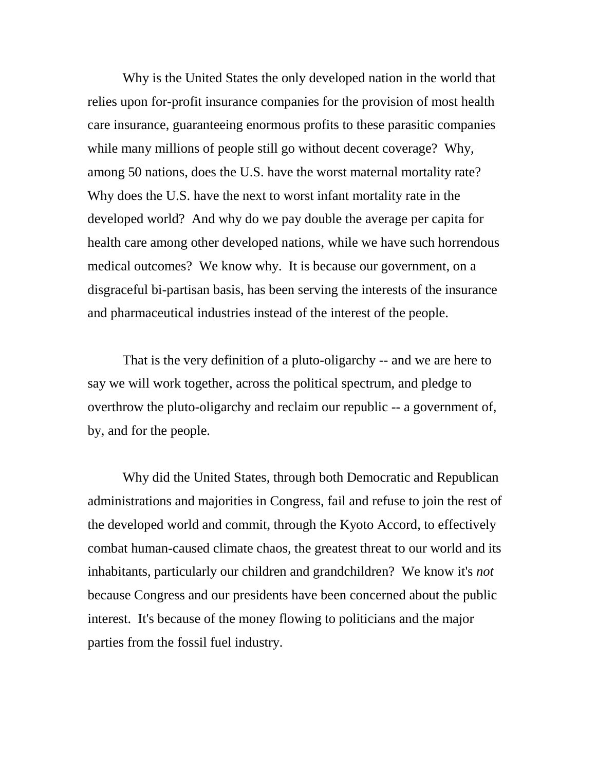Why is the United States the only developed nation in the world that relies upon for-profit insurance companies for the provision of most health care insurance, guaranteeing enormous profits to these parasitic companies while many millions of people still go without decent coverage? Why, among 50 nations, does the U.S. have the worst maternal mortality rate? Why does the U.S. have the next to worst infant mortality rate in the developed world? And why do we pay double the average per capita for health care among other developed nations, while we have such horrendous medical outcomes? We know why. It is because our government, on a disgraceful bi-partisan basis, has been serving the interests of the insurance and pharmaceutical industries instead of the interest of the people.

That is the very definition of a pluto-oligarchy -- and we are here to say we will work together, across the political spectrum, and pledge to overthrow the pluto-oligarchy and reclaim our republic -- a government of, by, and for the people.

Why did the United States, through both Democratic and Republican administrations and majorities in Congress, fail and refuse to join the rest of the developed world and commit, through the Kyoto Accord, to effectively combat human-caused climate chaos, the greatest threat to our world and its inhabitants, particularly our children and grandchildren? We know it's *not* because Congress and our presidents have been concerned about the public interest. It's because of the money flowing to politicians and the major parties from the fossil fuel industry.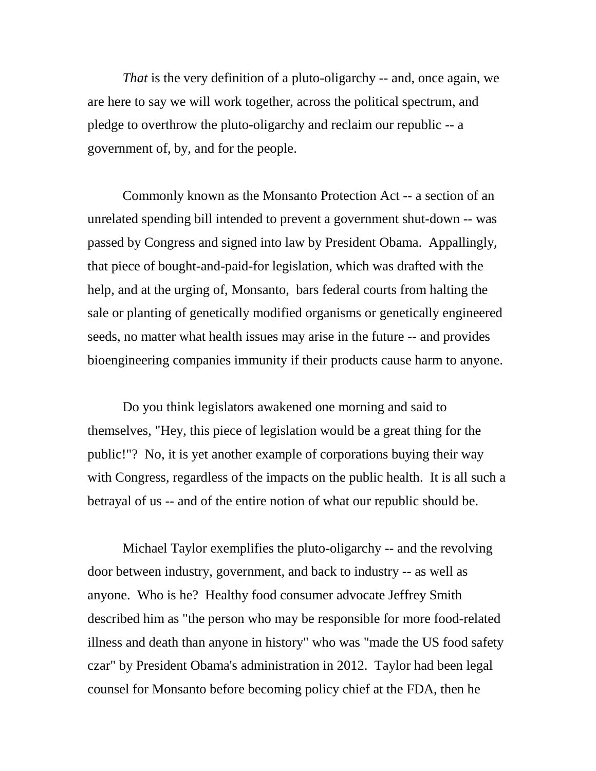*That* is the very definition of a pluto-oligarchy -- and, once again, we are here to say we will work together, across the political spectrum, and pledge to overthrow the pluto-oligarchy and reclaim our republic -- a government of, by, and for the people.

Commonly known as the Monsanto Protection Act -- a section of an unrelated spending bill intended to prevent a government shut-down -- was passed by Congress and signed into law by President Obama. Appallingly, that piece of bought-and-paid-for legislation, which was drafted with the help, and at the urging of, Monsanto, bars federal courts from halting the sale or planting of genetically modified organisms or genetically engineered seeds, no matter what health issues may arise in the future -- and provides bioengineering companies immunity if their products cause harm to anyone.

Do you think legislators awakened one morning and said to themselves, "Hey, this piece of legislation would be a great thing for the public!"? No, it is yet another example of corporations buying their way with Congress, regardless of the impacts on the public health. It is all such a betrayal of us -- and of the entire notion of what our republic should be.

Michael Taylor exemplifies the pluto-oligarchy -- and the revolving door between industry, government, and back to industry -- as well as anyone. Who is he? Healthy food consumer advocate Jeffrey Smith described him as "the person who may be responsible for more food-related illness and death than anyone in history" who was "made the US food safety czar" by President Obama's administration in 2012. Taylor had been legal counsel for Monsanto before becoming policy chief at the FDA, then he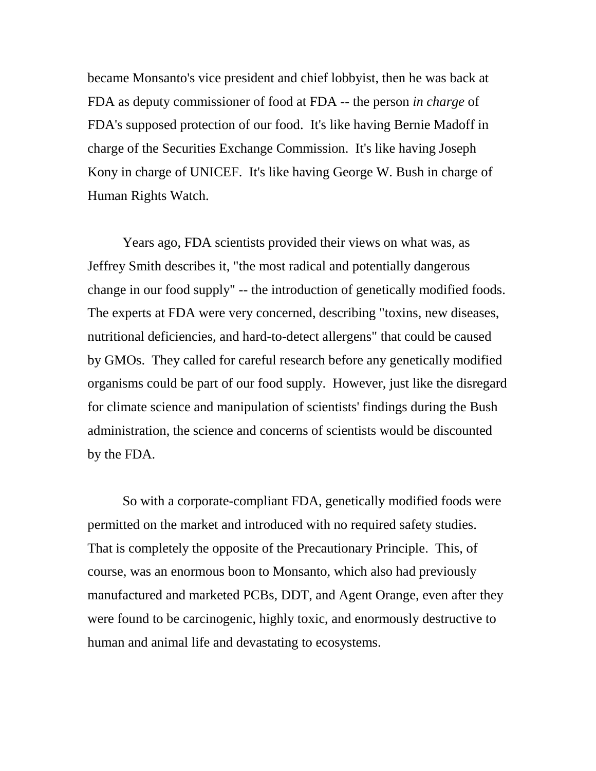became Monsanto's vice president and chief lobbyist, then he was back at FDA as deputy commissioner of food at FDA -- the person *in charge* of FDA's supposed protection of our food. It's like having Bernie Madoff in charge of the Securities Exchange Commission. It's like having Joseph Kony in charge of UNICEF. It's like having George W. Bush in charge of Human Rights Watch.

Years ago, FDA scientists provided their views on what was, as Jeffrey Smith describes it, "the most radical and potentially dangerous change in our food supply" -- the introduction of genetically modified foods. The experts at FDA were very concerned, describing "toxins, new diseases, nutritional deficiencies, and hard-to-detect allergens" that could be caused by GMOs. They called for careful research before any genetically modified organisms could be part of our food supply. However, just like the disregard for climate science and manipulation of scientists' findings during the Bush administration, the science and concerns of scientists would be discounted by the FDA.

So with a corporate-compliant FDA, genetically modified foods were permitted on the market and introduced with no required safety studies. That is completely the opposite of the Precautionary Principle. This, of course, was an enormous boon to Monsanto, which also had previously manufactured and marketed PCBs, DDT, and Agent Orange, even after they were found to be carcinogenic, highly toxic, and enormously destructive to human and animal life and devastating to ecosystems.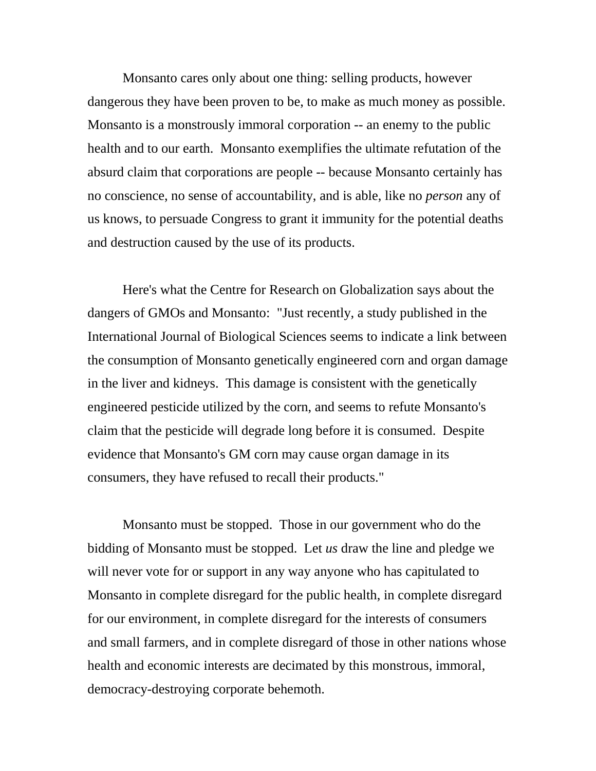Monsanto cares only about one thing: selling products, however dangerous they have been proven to be, to make as much money as possible. Monsanto is a monstrously immoral corporation -- an enemy to the public health and to our earth. Monsanto exemplifies the ultimate refutation of the absurd claim that corporations are people -- because Monsanto certainly has no conscience, no sense of accountability, and is able, like no *person* any of us knows, to persuade Congress to grant it immunity for the potential deaths and destruction caused by the use of its products.

Here's what the Centre for Research on Globalization says about the dangers of GMOs and Monsanto: "Just recently, a study published in the International Journal of Biological Sciences seems to indicate a link between the consumption of Monsanto genetically engineered corn and organ damage in the liver and kidneys. This damage is consistent with the genetically engineered pesticide utilized by the corn, and seems to refute Monsanto's claim that the pesticide will degrade long before it is consumed. Despite evidence that Monsanto's GM corn may cause organ damage in its consumers, they have refused to recall their products."

Monsanto must be stopped. Those in our government who do the bidding of Monsanto must be stopped. Let *us* draw the line and pledge we will never vote for or support in any way anyone who has capitulated to Monsanto in complete disregard for the public health, in complete disregard for our environment, in complete disregard for the interests of consumers and small farmers, and in complete disregard of those in other nations whose health and economic interests are decimated by this monstrous, immoral, democracy-destroying corporate behemoth.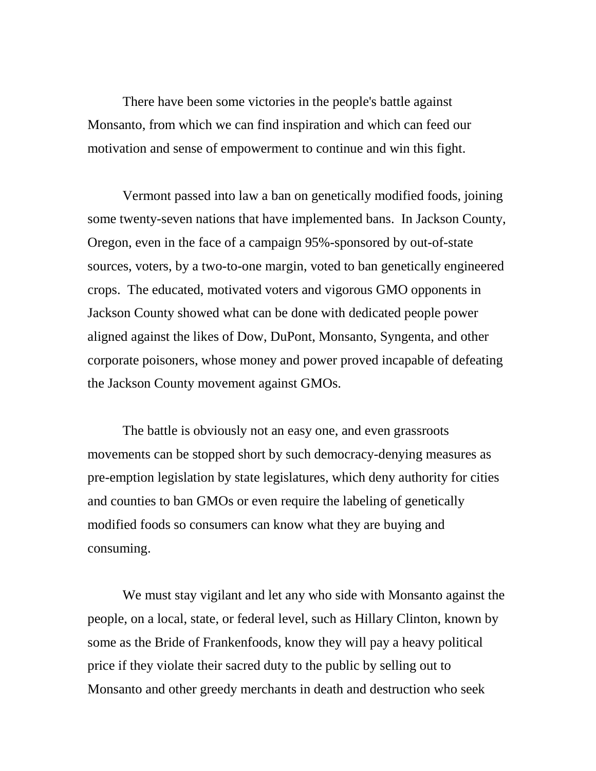There have been some victories in the people's battle against Monsanto, from which we can find inspiration and which can feed our motivation and sense of empowerment to continue and win this fight.

Vermont passed into law a ban on genetically modified foods, joining some twenty-seven nations that have implemented bans. In Jackson County, Oregon, even in the face of a campaign 95%-sponsored by out-of-state sources, voters, by a two-to-one margin, voted to ban genetically engineered crops. The educated, motivated voters and vigorous GMO opponents in Jackson County showed what can be done with dedicated people power aligned against the likes of Dow, DuPont, Monsanto, Syngenta, and other corporate poisoners, whose money and power proved incapable of defeating the Jackson County movement against GMOs.

The battle is obviously not an easy one, and even grassroots movements can be stopped short by such democracy-denying measures as pre-emption legislation by state legislatures, which deny authority for cities and counties to ban GMOs or even require the labeling of genetically modified foods so consumers can know what they are buying and consuming.

We must stay vigilant and let any who side with Monsanto against the people, on a local, state, or federal level, such as Hillary Clinton, known by some as the Bride of Frankenfoods, know they will pay a heavy political price if they violate their sacred duty to the public by selling out to Monsanto and other greedy merchants in death and destruction who seek